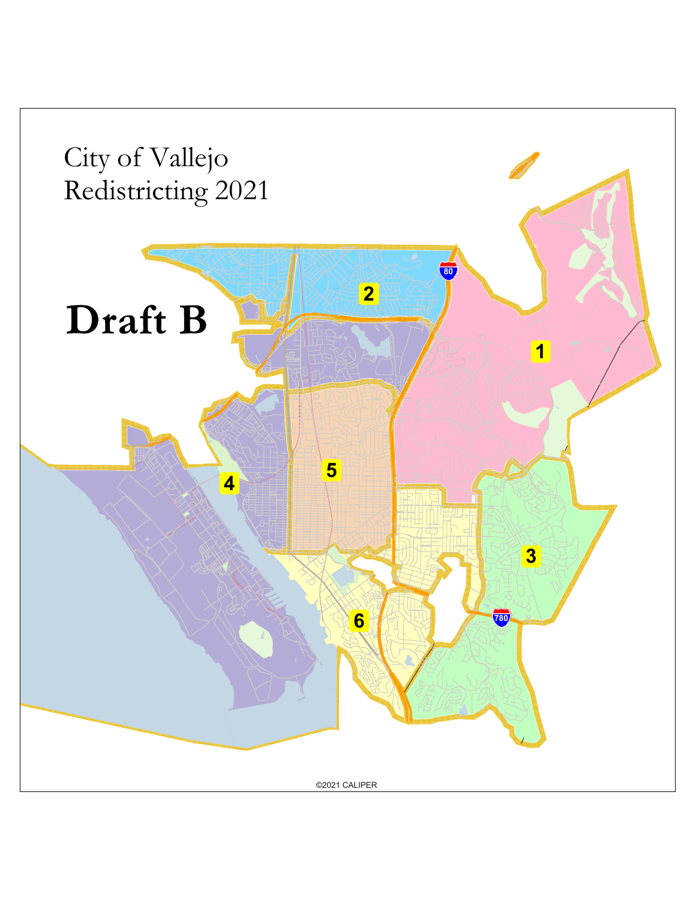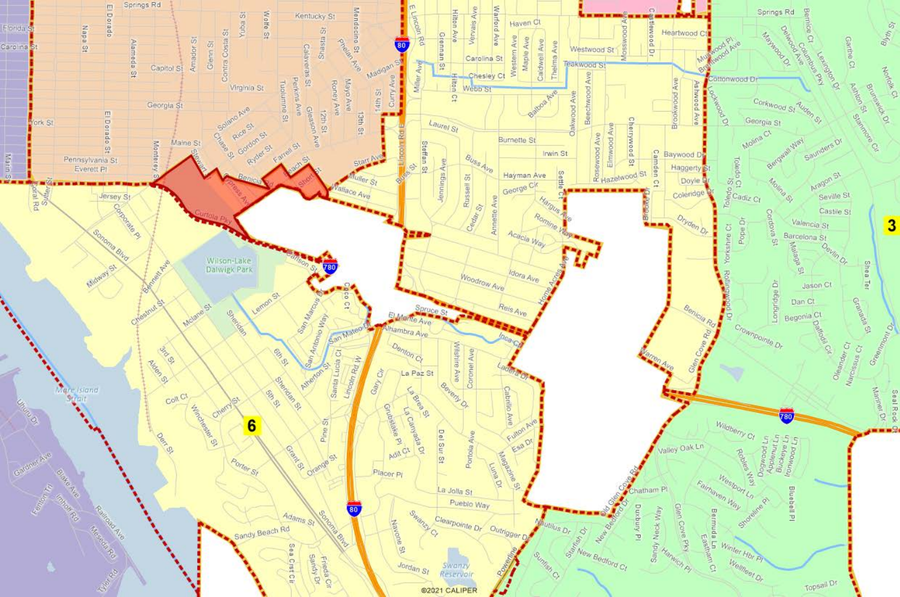